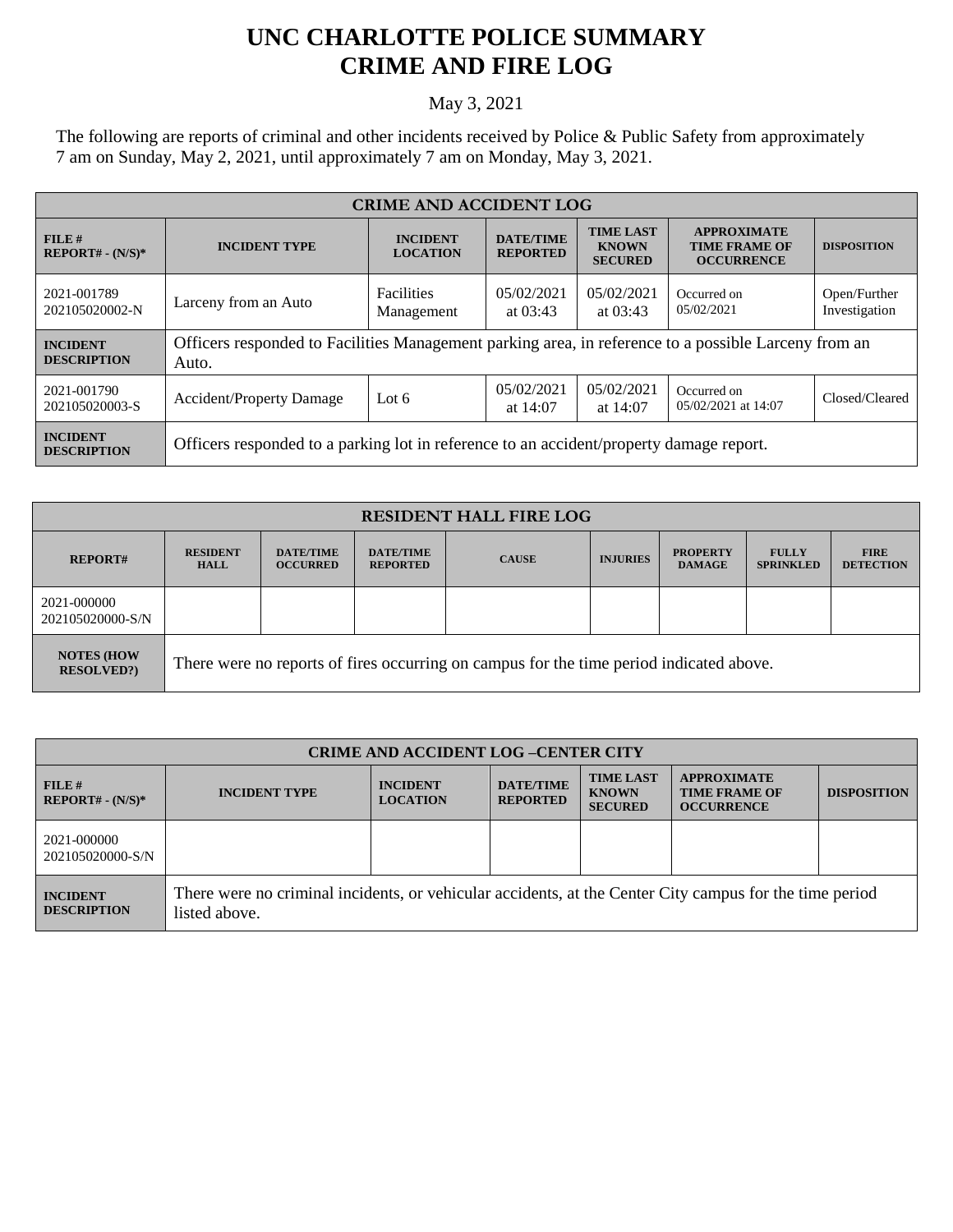## **UNC CHARLOTTE POLICE SUMMARY CRIME AND FIRE LOG**

## May 3, 2021

The following are reports of criminal and other incidents received by Police & Public Safety from approximately 7 am on Sunday, May 2, 2021, until approximately 7 am on Monday, May 3, 2021.

| <b>CRIME AND ACCIDENT LOG</b>         |                                                                                                               |                                    |                                                                                           |                           |                                                                 |                               |  |
|---------------------------------------|---------------------------------------------------------------------------------------------------------------|------------------------------------|-------------------------------------------------------------------------------------------|---------------------------|-----------------------------------------------------------------|-------------------------------|--|
| $FILE$ #<br>$REPORT# - (N/S)*$        | <b>INCIDENT TYPE</b>                                                                                          | <b>INCIDENT</b><br><b>LOCATION</b> | <b>TIME LAST</b><br><b>DATE/TIME</b><br><b>KNOWN</b><br><b>REPORTED</b><br><b>SECURED</b> |                           | <b>APPROXIMATE</b><br><b>TIME FRAME OF</b><br><b>OCCURRENCE</b> | <b>DISPOSITION</b>            |  |
| 2021-001789<br>202105020002-N         | Larceny from an Auto                                                                                          | <b>Facilities</b><br>Management    | 05/02/2021<br>at $03:43$                                                                  | 0.5/02/2021<br>at $03:43$ | Occurred on<br>05/02/2021                                       | Open/Further<br>Investigation |  |
| <b>INCIDENT</b><br><b>DESCRIPTION</b> | Officers responded to Facilities Management parking area, in reference to a possible Larceny from an<br>Auto. |                                    |                                                                                           |                           |                                                                 |                               |  |
| 2021-001790<br>202105020003-S         | <b>Accident/Property Damage</b>                                                                               | Lot $6$                            | 05/02/2021<br>at $14:07$                                                                  | 05/02/2021<br>at 14:07    | Occurred on<br>05/02/2021 at 14:07                              | Closed/Cleared                |  |
| <b>INCIDENT</b><br><b>DESCRIPTION</b> | Officers responded to a parking lot in reference to an accident/property damage report.                       |                                    |                                                                                           |                           |                                                                 |                               |  |

| <b>RESIDENT HALL FIRE LOG</b>         |                                                                                         |                                     |                                     |              |                 |                                  |                                  |                                 |
|---------------------------------------|-----------------------------------------------------------------------------------------|-------------------------------------|-------------------------------------|--------------|-----------------|----------------------------------|----------------------------------|---------------------------------|
| <b>REPORT#</b>                        | <b>RESIDENT</b><br><b>HALL</b>                                                          | <b>DATE/TIME</b><br><b>OCCURRED</b> | <b>DATE/TIME</b><br><b>REPORTED</b> | <b>CAUSE</b> | <b>INJURIES</b> | <b>PROPERTY</b><br><b>DAMAGE</b> | <b>FULLY</b><br><b>SPRINKLED</b> | <b>FIRE</b><br><b>DETECTION</b> |
| 2021-000000<br>202105020000-S/N       |                                                                                         |                                     |                                     |              |                 |                                  |                                  |                                 |
| <b>NOTES (HOW</b><br><b>RESOLVED?</b> | There were no reports of fires occurring on campus for the time period indicated above. |                                     |                                     |              |                 |                                  |                                  |                                 |

| <b>CRIME AND ACCIDENT LOG-CENTER CITY</b> |                                                                                                                          |                                    |                                     |                                                    |                                                                 |                    |  |
|-------------------------------------------|--------------------------------------------------------------------------------------------------------------------------|------------------------------------|-------------------------------------|----------------------------------------------------|-----------------------------------------------------------------|--------------------|--|
| FILE#<br>$REPORT# - (N/S)*$               | <b>INCIDENT TYPE</b>                                                                                                     | <b>INCIDENT</b><br><b>LOCATION</b> | <b>DATE/TIME</b><br><b>REPORTED</b> | <b>TIME LAST</b><br><b>KNOWN</b><br><b>SECURED</b> | <b>APPROXIMATE</b><br><b>TIME FRAME OF</b><br><b>OCCURRENCE</b> | <b>DISPOSITION</b> |  |
| 2021-000000<br>202105020000-S/N           |                                                                                                                          |                                    |                                     |                                                    |                                                                 |                    |  |
| <b>INCIDENT</b><br><b>DESCRIPTION</b>     | There were no criminal incidents, or vehicular accidents, at the Center City campus for the time period<br>listed above. |                                    |                                     |                                                    |                                                                 |                    |  |